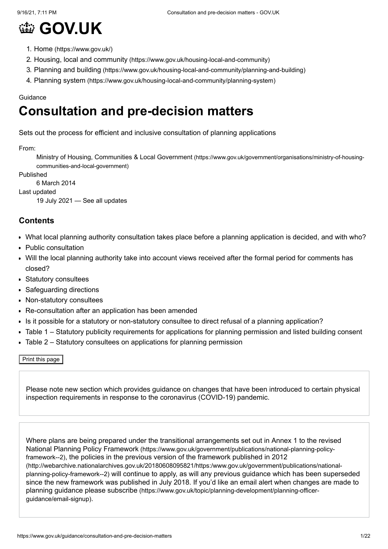# **[GOV.UK](https://www.gov.uk/)**

- 1. Home [\(https://www.gov.uk/\)](https://www.gov.uk/)
- 2. Housing, local and community [\(https://www.gov.uk/housing-local-and-community\)](https://www.gov.uk/housing-local-and-community)
- 3. Planning and building [\(https://www.gov.uk/housing-local-and-community/planning-and-building\)](https://www.gov.uk/housing-local-and-community/planning-and-building)
- 4. Planning system [\(https://www.gov.uk/housing-local-and-community/planning-system\)](https://www.gov.uk/housing-local-and-community/planning-system)

#### **Guidance**

## **Consultation and pre-decision matters**

Sets out the process for efficient and inclusive consultation of planning applications

From:

Ministry of Housing, Communities & Local Government [\(https://www.gov.uk/government/organisations/ministry-of-housing](https://www.gov.uk/government/organisations/ministry-of-housing-communities-and-local-government)communities-and-local-government)

Published

6 March 2014

Last updated

19 July 2021 — See all [updates](#page-20-0)

## **Contents**

- [What local planning authority consultation takes place before a planning application is decided, and with who?](#page-1-0)
- [Public consultation](#page-1-1)
- [Will the local planning authority take into account views received after the formal period for comments has](#page-2-0) closed?
- [Statutory consultees](#page-4-0)
- [Safeguarding directions](#page-7-0)
- [Non-statutory consultees](#page-8-0)
- [Re-consultation after an application has been amended](#page-9-0)
- [Is it possible for a statutory or non-statutory consultee to direct refusal of a planning application?](#page-10-0)
- [Table 1 Statutory publicity requirements for applications for planning permission and listed building consent](#page-10-1)
- $\bullet$ [Table 2 – Statutory consultees on applications for planning permission](#page-11-0)

Print this page

Please note [new section](#page-14-0) which provides guidance on changes that have been introduced to certain physical inspection requirements in response to the coronavirus (COVID-19) pandemic.

Where plans are being prepared under the transitional arrangements set out in Annex 1 to the revised National Planning Policy Framework (https://www.gov.uk/government/publications/national-planning-policyframework--2)[, the policies in the previous version of the framework published in 2012](https://www.gov.uk/government/publications/national-planning-policy-framework--2) [\(http://webarchive.nationalarchives.gov.uk/20180608095821/https:/www.gov.uk/government/publications/national](http://webarchive.nationalarchives.gov.uk/20180608095821/https:/www.gov.uk/government/publications/national-planning-policy-framework--2)planning-policy-framework--2) will continue to apply, as will any previous guidance which has been superseded since the new framework was published in July 2018. If you'd like an email alert when changes are made to planning guidance please subscribe [\(https://www.gov.uk/topic/planning-development/planning-officer](https://www.gov.uk/topic/planning-development/planning-officer-guidance/email-signup)guidance/email-signup).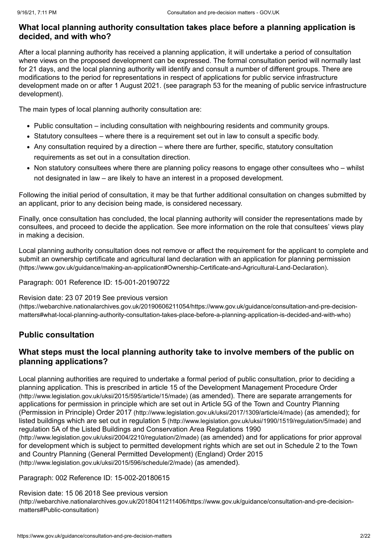## <span id="page-1-0"></span>**What local planning authority consultation takes place before a planning application is decided, and with who?**

After a local planning authority has received a planning application, it will undertake a period of consultation where views on the proposed development can be expressed. The formal consultation period will normally last for 21 days, and the local planning authority will identify and consult a number of different groups. There are modifications to the period for representations in respect of applications for public service infrastructure development made on or after 1 August 2021. (see [paragraph 53](#page-19-0) for the meaning of public service infrastructure development).

The main types of local planning authority consultation are:

- [Public consultation](#page-1-1) including consultation with neighbouring residents and community groups.
- [Statutory consultees](#page-4-0)  where there is a requirement set out in law to consult a specific body.
- Any consultation required by a [direction](#page-7-1)  where there are further, specific, statutory consultation requirements as set out in a consultation direction.
- [Non statutory consultees](#page-8-0) where there are planning policy reasons to engage other consultees who whilst not designated in law – are likely to have an interest in a proposed development.

[Following the initial period of consultation, it may be that further additional consultation on changes submitted by](#page-9-0) an applicant, prior to any decision being made, is considered necessary.

Finally, once consultation has concluded, the local planning authority will consider the representations made by consultees, and proceed to decide the application. See [more information](#page-10-0) on the role that consultees' views play in making a decision.

[Local planning authority consultation does not remove or affect the requirement for the applicant to complete and](https://www.gov.uk/guidance/making-an-application#Ownership-Certificate-and-Agricultural-Land-Declaration) submit an ownership certificate and agricultural land declaration with an application for planning permission (https://www.gov.uk/guidance/making-an-application#Ownership-Certificate-and-Agricultural-Land-Declaration).

## Paragraph: 001 Reference ID: 15-001-20190722

#### Revision date: 23 07 2019 See previous version

[\(https://webarchive.nationalarchives.gov.uk/20190606211054/https://www.gov.uk/guidance/consultation-and-pre-decision](https://webarchive.nationalarchives.gov.uk/20190606211054/https://www.gov.uk/guidance/consultation-and-pre-decision-matters#what-local-planning-authority-consultation-takes-place-before-a-planning-application-is-decided-and-with-who)matters#what-local-planning-authority-consultation-takes-place-before-a-planning-application-is-decided-and-with-who)

## <span id="page-1-1"></span>**Public consultation**

## **What steps must the local planning authority take to involve members of the public on planning applications?**

Local planning authorities are required to undertake a formal period of public consultation, prior to deciding a [planning application. This is prescribed in article 15 of the Development Management Procedure Order](http://www.legislation.gov.uk/uksi/2015/595/article/15/made) (http://www.legislation.gov.uk/uksi/2015/595/article/15/made) (as amended). There are separate arrangements for [applications for permission in principle which are set out in Article 5G of the Town and Country Planning](http://www.legislation.gov.uk/uksi/2017/1309/article/4/made) (Permission in Principle) Order 2017 (http://www.legislation.gov.uk/uksi/2017/1309/article/4/made) (as amended); for listed buildings which are set out in regulation 5 [\(http://www.legislation.gov.uk/uksi/1990/1519/regulation/5/made\)](http://www.legislation.gov.uk/uksi/1990/1519/regulation/5/made) and [regulation 5A of the Listed Buildings and Conservation Area Regulations 1990](http://www.legislation.gov.uk/uksi/2004/2210/regulation/2/made) (http://www.legislation.gov.uk/uksi/2004/2210/regulation/2/made) (as amended) and for applications for prior approval [for development which is subject to permitted development rights which are set out in Schedule 2 to the Town](http://www.legislation.gov.uk/uksi/2015/596/schedule/2/made) and Country Planning (General Permitted Development) (England) Order 2015

(http://www.legislation.gov.uk/uksi/2015/596/schedule/2/made) (as amended).

## Paragraph: 002 Reference ID: 15-002-20180615

Revision date: 15 06 2018 See previous version [\(http://webarchive.nationalarchives.gov.uk/20180411211406/https://www.gov.uk/guidance/consultation-and-pre-decision](http://webarchive.nationalarchives.gov.uk/20180411211406/https://www.gov.uk/guidance/consultation-and-pre-decision-matters#Public-consultation)matters#Public-consultation)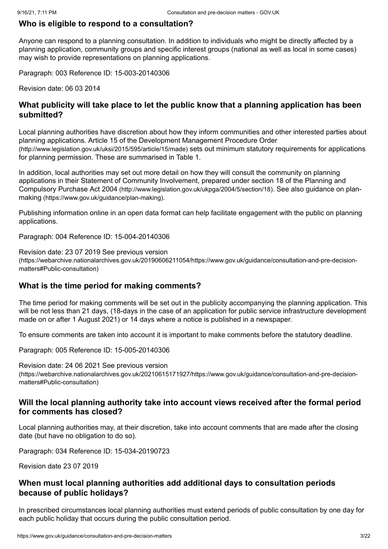#### **Who is eligible to respond to a consultation?**

Anyone can respond to a planning consultation. In addition to individuals who might be directly affected by a planning application, community groups and specific interest groups (national as well as local in some cases) may wish to provide representations on planning applications.

Paragraph: 003 Reference ID: 15-003-20140306

Revision date: 06 03 2014

## **What publicity will take place to let the public know that a planning application has been submitted?**

Local planning authorities have discretion about how they inform communities and other interested parties about [planning applications. Article 15 of the Development Management Procedure Order](http://www.legislation.gov.uk/uksi/2015/595/article/15/made) (http://www.legislation.gov.uk/uksi/2015/595/article/15/made) sets out minimum statutory requirements for applications for planning permission. These are summarised in [Table 1](#page-10-1).

In addition, local authorities may set out more detail on how they will consult the community on planning [applications in their Statement of Community Involvement, prepared under section 18 of the Planning and](http://www.legislation.gov.uk/ukpga/2004/5/section/18) Compulsory Purchase Act 2004 [\(http://www.legislation.gov.uk/ukpga/2004/5/section/18\)](https://www.gov.uk/guidance/plan-making). See also guidance on planmaking (https://www.gov.uk/guidance/plan-making).

Publishing information online in an open data format can help facilitate engagement with the public on planning applications.

Paragraph: 004 Reference ID: 15-004-20140306

Revision date: 23 07 2019 See previous version [\(https://webarchive.nationalarchives.gov.uk/20190606211054/https://www.gov.uk/guidance/consultation-and-pre-decision](https://webarchive.nationalarchives.gov.uk/20190606211054/https://www.gov.uk/guidance/consultation-and-pre-decision-matters#Public-consultation)matters#Public-consultation)

## **What is the time period for making comments?**

The time period for making comments will be set out in the publicity accompanying the planning application. This will be not less than 21 days, (18-days in the case of an application for public service infrastructure development made on or after 1 August 2021) or 14 days where a notice is published in a newspaper.

To ensure comments are taken into account it is important to make comments before the statutory deadline.

Paragraph: 005 Reference ID: 15-005-20140306

Revision date: 24 06 2021 See previous version

[\(https://webarchive.nationalarchives.gov.uk/20210615171927/https://www.gov.uk/guidance/consultation-and-pre-decision](https://webarchive.nationalarchives.gov.uk/20210615171927/https://www.gov.uk/guidance/consultation-and-pre-decision-matters#Public-consultation)matters#Public-consultation)

#### <span id="page-2-0"></span>**Will the local planning authority take into account views received after the formal period for comments has closed?**

Local planning authorities may, at their discretion, take into account comments that are made after the closing date (but have no obligation to do so).

Paragraph: 034 Reference ID: 15-034-20190723

Revision date 23 07 2019

## **When must local planning authorities add additional days to consultation periods because of public holidays?**

In prescribed circumstances local planning authorities must extend periods of public consultation by one day for each public holiday that occurs during the public consultation period.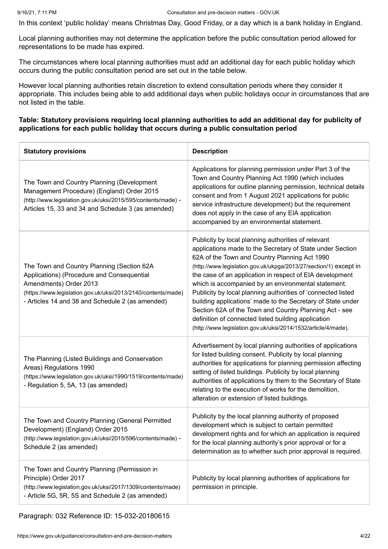In this context 'public holiday' means Christmas Day, Good Friday, or a day which is a bank holiday in England.

Local planning authorities may not determine the application before the public consultation period allowed for representations to be made has expired.

The circumstances where local planning authorities must add an additional day for each public holiday which occurs during the public consultation period are set out in the table below.

However local planning authorities retain discretion to extend consultation periods where they consider it appropriate. This includes being able to add additional days when public holidays occur in circumstances that are not listed in the table.

#### **Table: Statutory provisions requiring local planning authorities to add an additional day for publicity of applications for each public holiday that occurs during a public consultation period**

| <b>Statutory provisions</b>                                                                                                                                                                                                             | <b>Description</b>                                                                                                                                                                                                                                                                                                                                                                                                                                                                                                                                                                                                                                                          |
|-----------------------------------------------------------------------------------------------------------------------------------------------------------------------------------------------------------------------------------------|-----------------------------------------------------------------------------------------------------------------------------------------------------------------------------------------------------------------------------------------------------------------------------------------------------------------------------------------------------------------------------------------------------------------------------------------------------------------------------------------------------------------------------------------------------------------------------------------------------------------------------------------------------------------------------|
| The Town and Country Planning (Development<br>Management Procedure) (England) Order 2015<br>(http://www.legislation.gov.uk/uksi/2015/595/contents/made) -<br>Articles 15, 33 and 34 and Schedule 3 (as amended)                         | Applications for planning permission under Part 3 of the<br>Town and Country Planning Act 1990 (which includes<br>applications for outline planning permission, technical details<br>consent and from 1 August 2021 applications for public<br>service infrastructure development) but the requirement<br>does not apply in the case of any EIA application<br>accompanied by an environmental statement.                                                                                                                                                                                                                                                                   |
| The Town and Country Planning (Section 62A<br>Applications) (Procedure and Consequential<br>Amendments) Order 2013<br>(https://www.legislation.gov.uk/uksi/2013/2140/contents/made)<br>- Articles 14 and 38 and Schedule 2 (as amended) | Publicity by local planning authorities of relevant<br>applications made to the Secretary of State under Section<br>62A of the Town and Country Planning Act 1990<br>(http://www.legislation.gov.uk/ukpga/2013/27/section/1) except in<br>the case of an application in respect of EIA development<br>which is accompanied by an environmental statement.<br>Publicity by local planning authorities of 'connected listed<br>building applications' made to the Secretary of State under<br>Section 62A of the Town and Country Planning Act - see<br>definition of connected listed building application<br>(http://www.legislation.gov.uk/uksi/2014/1532/article/4/made). |
| The Planning (Listed Buildings and Conservation<br>Areas) Regulations 1990<br>(https://www.legislation.gov.uk/uksi/1990/1519/contents/made)<br>- Regulation 5, 5A, 13 (as amended)                                                      | Advertisement by local planning authorities of applications<br>for listed building consent. Publicity by local planning<br>authorities for applications for planning permission affecting<br>setting of listed buildings. Publicity by local planning<br>authorities of applications by them to the Secretary of State<br>relating to the execution of works for the demolition,<br>alteration or extension of listed buildings.                                                                                                                                                                                                                                            |
| The Town and Country Planning (General Permitted<br>Development) (England) Order 2015<br>(http://www.legislation.gov.uk/uksi/2015/596/contents/made) -<br>Schedule 2 (as amended)                                                       | Publicity by the local planning authority of proposed<br>development which is subject to certain permitted<br>development rights and for which an application is required<br>for the local planning authority's prior approval or for a<br>determination as to whether such prior approval is required.                                                                                                                                                                                                                                                                                                                                                                     |
| The Town and Country Planning (Permission in<br>Principle) Order 2017<br>(http://www.legislation.gov.uk/uksi/2017/1309/contents/made)<br>- Article 5G, 5R, 5S and Schedule 2 (as amended)                                               | Publicity by local planning authorities of applications for<br>permission in principle.                                                                                                                                                                                                                                                                                                                                                                                                                                                                                                                                                                                     |

#### Paragraph: 032 Reference ID: 15-032-20180615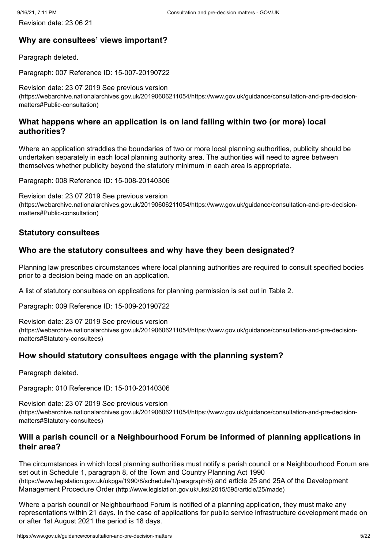## **Why are consultees' views important?**

Paragraph deleted.

Paragraph: 007 Reference ID: 15-007-20190722

Revision date: 23 07 2019 See previous version [\(https://webarchive.nationalarchives.gov.uk/20190606211054/https://www.gov.uk/guidance/consultation-and-pre-decision](https://webarchive.nationalarchives.gov.uk/20190606211054/https://www.gov.uk/guidance/consultation-and-pre-decision-matters#Public-consultation)matters#Public-consultation)

## **What happens where an application is on land falling within two (or more) local authorities?**

Where an application straddles the boundaries of two or more local planning authorities, publicity should be undertaken separately in each local planning authority area. The authorities will need to agree between themselves whether publicity beyond the statutory minimum in each area is appropriate.

Paragraph: 008 Reference ID: 15-008-20140306

Revision date: 23 07 2019 See previous version [\(https://webarchive.nationalarchives.gov.uk/20190606211054/https://www.gov.uk/guidance/consultation-and-pre-decision](https://webarchive.nationalarchives.gov.uk/20190606211054/https://www.gov.uk/guidance/consultation-and-pre-decision-matters#Public-consultation)matters#Public-consultation)

## <span id="page-4-0"></span>**Statutory consultees**

## **Who are the statutory consultees and why have they been designated?**

Planning law prescribes circumstances where local planning authorities are required to consult specified bodies prior to a decision being made on an application.

A list of statutory consultees on applications for planning permission is set out in [Table 2](#page-11-0).

Paragraph: 009 Reference ID: 15-009-20190722

Revision date: 23 07 2019 See previous version [\(https://webarchive.nationalarchives.gov.uk/20190606211054/https://www.gov.uk/guidance/consultation-and-pre-decision](https://webarchive.nationalarchives.gov.uk/20190606211054/https://www.gov.uk/guidance/consultation-and-pre-decision-matters#Statutory-consultees)matters#Statutory-consultees)

## **How should statutory consultees engage with the planning system?**

Paragraph deleted.

Paragraph: 010 Reference ID: 15-010-20140306

Revision date: 23 07 2019 See previous version [\(https://webarchive.nationalarchives.gov.uk/20190606211054/https://www.gov.uk/guidance/consultation-and-pre-decision](https://webarchive.nationalarchives.gov.uk/20190606211054/https://www.gov.uk/guidance/consultation-and-pre-decision-matters#Statutory-consultees)matters#Statutory-consultees)

## **Will a parish council or a Neighbourhood Forum be informed of planning applications in their area?**

The circumstances in which local planning authorities must notify a parish council or a Neighbourhood Forum are [set out in Schedule 1, paragraph 8, of the Town and Country Planning Act 1990](https://www.legislation.gov.uk/ukpga/1990/8/schedule/1/paragraph/8) [\(https://www.legislation.gov.uk/ukpga/1990/8/schedule/1/paragraph/8\)](http://www.legislation.gov.uk/uksi/2015/595/article/25/made) and article 25 and 25A of the Development Management Procedure Order (http://www.legislation.gov.uk/uksi/2015/595/article/25/made)

Where a parish council or Neighbourhood Forum is notified of a planning application, they must make any representations within 21 days. In the case of applications for public service infrastructure development made on or after 1st August 2021 the period is 18 days.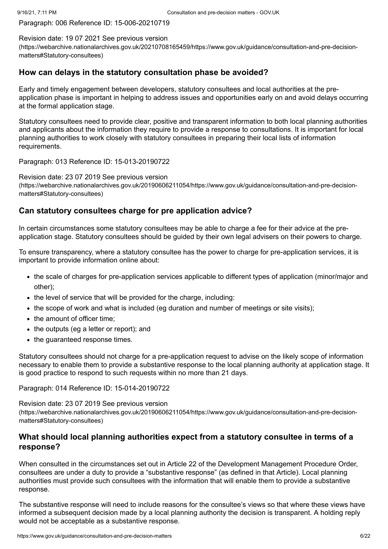Paragraph: 006 Reference ID: 15-006-20210719

Revision date: 19 07 2021 See previous version [\(https://webarchive.nationalarchives.gov.uk/20210708165459/https://www.gov.uk/guidance/consultation-and-pre-decision](https://webarchive.nationalarchives.gov.uk/20210708165459/https://www.gov.uk/guidance/consultation-and-pre-decision-matters#Statutory-consultees)matters#Statutory-consultees)

## **How can delays in the statutory consultation phase be avoided?**

Early and timely engagement between developers, statutory consultees and local authorities at the preapplication phase is important in helping to address issues and opportunities early on and avoid delays occurring at the formal application stage.

Statutory consultees need to provide clear, positive and transparent information to both local planning authorities and applicants about the information they require to provide a response to consultations. It is important for local planning authorities to work closely with statutory consultees in preparing their local lists of information requirements.

Paragraph: 013 Reference ID: 15-013-20190722

Revision date: 23 07 2019 See previous version [\(https://webarchive.nationalarchives.gov.uk/20190606211054/https://www.gov.uk/guidance/consultation-and-pre-decision](https://webarchive.nationalarchives.gov.uk/20190606211054/https://www.gov.uk/guidance/consultation-and-pre-decision-matters#Statutory-consultees)matters#Statutory-consultees)

## **Can statutory consultees charge for pre application advice?**

In certain circumstances some statutory consultees may be able to charge a fee for their advice at the preapplication stage. Statutory consultees should be guided by their own legal advisers on their powers to charge.

To ensure transparency, where a statutory consultee has the power to charge for pre-application services, it is important to provide information online about:

- the scale of charges for pre-application services applicable to different types of application (minor/major and other);
- the level of service that will be provided for the charge, including:
- the scope of work and what is included (eq duration and number of meetings or site visits);
- the amount of officer time:
- the outputs (eg a letter or report); and
- the guaranteed response times.

Statutory consultees should not charge for a pre-application request to advise on the likely scope of information necessary to enable them to provide a substantive response to the local planning authority at application stage. It is good practice to respond to such requests within no more than 21 days.

#### Paragraph: 014 Reference ID: 15-014-20190722

Revision date: 23 07 2019 See previous version [\(https://webarchive.nationalarchives.gov.uk/20190606211054/https://www.gov.uk/guidance/consultation-and-pre-decision](https://webarchive.nationalarchives.gov.uk/20190606211054/https://www.gov.uk/guidance/consultation-and-pre-decision-matters#Statutory-consultees)matters#Statutory-consultees)

## **What should local planning authorities expect from a statutory consultee in terms of a response?**

When consulted in the circumstances set out in Article 22 of the Development Management Procedure Order, consultees are under a duty to provide a "substantive response" (as defined in that Article). Local planning authorities must provide such consultees with the information that will enable them to provide a substantive response.

The substantive response will need to include reasons for the consultee's views so that where these views have informed a subsequent decision made by a local planning authority the decision is transparent. A holding reply would not be acceptable as a substantive response.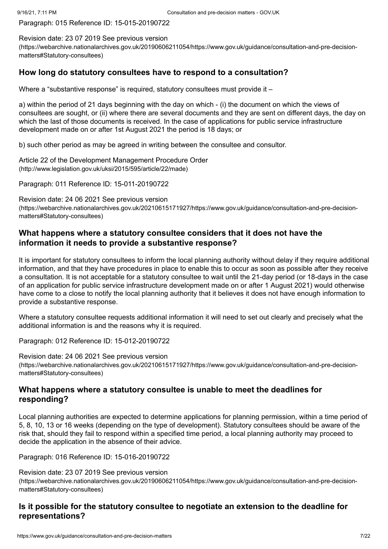Paragraph: 015 Reference ID: 15-015-20190722

Revision date: 23 07 2019 See previous version [\(https://webarchive.nationalarchives.gov.uk/20190606211054/https://www.gov.uk/guidance/consultation-and-pre-decision](https://webarchive.nationalarchives.gov.uk/20190606211054/https://www.gov.uk/guidance/consultation-and-pre-decision-matters#Statutory-consultees)matters#Statutory-consultees)

## <span id="page-6-0"></span>**How long do statutory consultees have to respond to a consultation?**

Where a "substantive response" is required, statutory consultees must provide it -

a) within the period of 21 days beginning with the day on which - (i) the document on which the views of consultees are sought, or (ii) where there are several documents and they are sent on different days, the day on which the last of those documents is received. In the case of applications for public service infrastructure development made on or after 1st August 2021 the period is 18 days; or

b) such other period as may be agreed in writing between the consultee and consultor.

[Article 22 of the Development Management Procedure Order](http://www.legislation.gov.uk/uksi/2015/595/article/22/made) (http://www.legislation.gov.uk/uksi/2015/595/article/22/made)

Paragraph: 011 Reference ID: 15-011-20190722

Revision date: 24 06 2021 See previous version [\(https://webarchive.nationalarchives.gov.uk/20210615171927/https://www.gov.uk/guidance/consultation-and-pre-decision](https://webarchive.nationalarchives.gov.uk/20210615171927/https://www.gov.uk/guidance/consultation-and-pre-decision-matters#Statutory-consultees)matters#Statutory-consultees)

## **What happens where a statutory consultee considers that it does not have the information it needs to provide a substantive response?**

It is important for statutory consultees to inform the local planning authority without delay if they require additional information, and that they have procedures in place to enable this to occur as soon as possible after they receive a consultation. It is not acceptable for a statutory consultee to wait until the 21-day period (or 18-days in the case of an application for public service infrastructure development made on or after 1 August 2021) would otherwise have come to a close to notify the local planning authority that it believes it does not have enough information to provide a substantive response.

Where a statutory consultee requests additional information it will need to set out clearly and precisely what the additional information is and the reasons why it is required.

Paragraph: 012 Reference ID: 15-012-20190722

Revision date: 24 06 2021 See previous version [\(https://webarchive.nationalarchives.gov.uk/20210615171927/https://www.gov.uk/guidance/consultation-and-pre-decision](https://webarchive.nationalarchives.gov.uk/20210615171927/https://www.gov.uk/guidance/consultation-and-pre-decision-matters#Statutory-consultees)matters#Statutory-consultees)

## **What happens where a statutory consultee is unable to meet the deadlines for responding?**

Local planning authorities are expected to determine applications for planning permission, within a time period of 5, 8, 10, 13 or 16 weeks (depending on the type of development). Statutory consultees should be aware of the risk that, should they fail to respond within a specified time period, a local planning authority may proceed to decide the application in the absence of their advice.

Paragraph: 016 Reference ID: 15-016-20190722

Revision date: 23 07 2019 See previous version [\(https://webarchive.nationalarchives.gov.uk/20190606211054/https://www.gov.uk/guidance/consultation-and-pre-decision](https://webarchive.nationalarchives.gov.uk/20190606211054/https://www.gov.uk/guidance/consultation-and-pre-decision-matters#Statutory-consultees)matters#Statutory-consultees)

## **Is it possible for the statutory consultee to negotiate an extension to the deadline for representations?**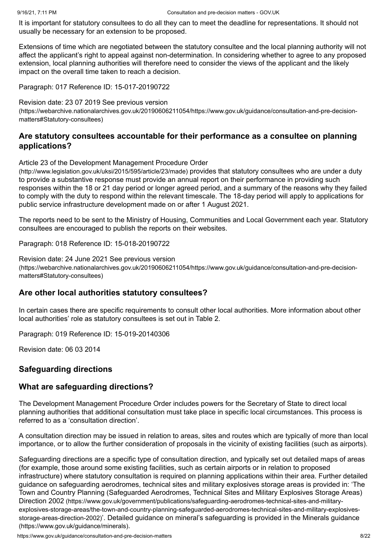It is important for statutory consultees to do all they can to meet the deadline for representations. It should not usually be necessary for an extension to be proposed.

Extensions of time which are negotiated between the statutory consultee and the local planning authority will not affect the applicant's right to appeal against non-determination. In considering whether to agree to any proposed extension, local planning authorities will therefore need to consider the views of the applicant and the likely impact on the overall time taken to reach a decision.

Paragraph: 017 Reference ID: 15-017-20190722

Revision date: 23 07 2019 See previous version

[\(https://webarchive.nationalarchives.gov.uk/20190606211054/https://www.gov.uk/guidance/consultation-and-pre-decision](https://webarchive.nationalarchives.gov.uk/20190606211054/https://www.gov.uk/guidance/consultation-and-pre-decision-matters#Statutory-consultees)matters#Statutory-consultees)

## **Are statutory consultees accountable for their performance as a consultee on planning applications?**

[Article 23 of the Development Management Procedure Order](http://www.legislation.gov.uk/uksi/2015/595/article/23/made)

(http://www.legislation.gov.uk/uksi/2015/595/article/23/made) provides that statutory consultees who are under a duty to provide a substantive response must provide an annual report on their performance in providing such responses within the 18 or 21 day period or longer agreed period, and a summary of the reasons why they failed to comply with the duty to respond within the relevant timescale. The 18-day period will apply to applications for public service infrastructure development made on or after 1 August 2021.

The reports need to be sent to the Ministry of Housing, Communities and Local Government each year. Statutory consultees are encouraged to publish the reports on their websites.

Paragraph: 018 Reference ID: 15-018-20190722

Revision date: 24 June 2021 See previous version [\(https://webarchive.nationalarchives.gov.uk/20190606211054/https://www.gov.uk/guidance/consultation-and-pre-decision](https://webarchive.nationalarchives.gov.uk/20190606211054/https://www.gov.uk/guidance/consultation-and-pre-decision-matters#Statutory-consultees)matters#Statutory-consultees)

## **Are other local authorities statutory consultees?**

In certain cases there are specific requirements to consult other local authorities. More information about other local authorities' role as statutory consultees is set out in [Table 2](#page-11-0).

Paragraph: 019 Reference ID: 15-019-20140306

Revision date: 06 03 2014

## <span id="page-7-0"></span>**Safeguarding directions**

## <span id="page-7-1"></span>**What are safeguarding directions?**

The Development Management Procedure Order includes powers for the Secretary of State to direct local planning authorities that additional consultation must take place in specific local circumstances. This process is referred to as a 'consultation direction'.

A consultation direction may be issued in relation to areas, sites and routes which are typically of more than local importance, or to allow the further consideration of proposals in the vicinity of existing facilities (such as airports).

Safeguarding directions are a specific type of consultation direction, and typically set out detailed maps of areas (for example, those around some existing facilities, such as certain airports or in relation to proposed infrastructure) where statutory consultation is required on planning applications within their area. Further detailed [guidance on safeguarding aerodromes, technical sites and military explosives storage areas is provided in: 'The](https://www.gov.uk/government/publications/safeguarding-aerodromes-technical-sites-and-military-explosives-storage-areas/the-town-and-country-planning-safeguarded-aerodromes-technical-sites-and-military-explosives-storage-areas-direction-2002) Town and Country Planning (Safeguarded Aerodromes, Technical Sites and Military Explosives Storage Areas) Direction 2002 (https://www.gov.uk/government/publications/safeguarding-aerodromes-technical-sites-and-militaryexplosives-storage-areas/the-town-and-country-planning-safeguarded-aerodromes-technical-sites-and-military-explosivesstorage-areas-direction-2002)['. Detailed guidance on mineral's safeguarding is provided in the Minerals guidance](https://www.gov.uk/guidance/minerals) (https://www.gov.uk/guidance/minerals).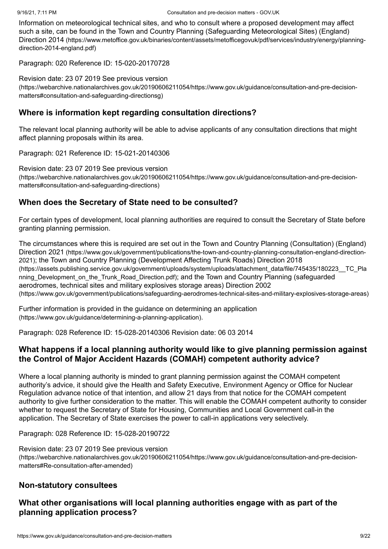Information on meteorological technical sites, and who to consult where a proposed development may affect [such a site, can be found in the Town and Country Planning \(Safeguarding Meteorological Sites\) \(England\)](https://www.metoffice.gov.uk/binaries/content/assets/metofficegovuk/pdf/services/industry/energy/planning-direction-2014-england.pdf) Direction 2014 (https://www.metoffice.gov.uk/binaries/content/assets/metofficegovuk/pdf/services/industry/energy/planningdirection-2014-england.pdf)

Paragraph: 020 Reference ID: 15-020-20170728

Revision date: 23 07 2019 See previous version [\(https://webarchive.nationalarchives.gov.uk/20190606211054/https://www.gov.uk/guidance/consultation-and-pre-decision](https://webarchive.nationalarchives.gov.uk/20190606211054/https://www.gov.uk/guidance/consultation-and-pre-decision-matters#consultation-and-safeguarding-directionsg)matters#consultation-and-safeguarding-directionsg)

## **Where is information kept regarding consultation directions?**

The relevant local planning authority will be able to advise applicants of any consultation directions that might affect planning proposals within its area.

Paragraph: 021 Reference ID: 15-021-20140306

Revision date: 23 07 2019 See previous version [\(https://webarchive.nationalarchives.gov.uk/20190606211054/https://www.gov.uk/guidance/consultation-and-pre-decision](https://webarchive.nationalarchives.gov.uk/20190606211054/https://www.gov.uk/guidance/consultation-and-pre-decision-matters#consultation-and-safeguarding-directions)matters#consultation-and-safeguarding-directions)

## **When does the Secretary of State need to be consulted?**

For certain types of development, local planning authorities are required to consult the Secretary of State before granting planning permission.

[The circumstances where this is required are set out in the Town and Country Planning \(Consultation\) \(England\)](https://www.gov.uk/government/publications/the-town-and-country-planning-consultation-england-direction-2021) Direction 2021 (https://www.gov.uk/government/publications/the-town-and-country-planning-consultation-england-direction-2021); the Town and Country Planning (Development Affecting Trunk Roads) Direction 2018 [\(https://assets.publishing.service.gov.uk/government/uploads/system/uploads/attachment\\_data/file/745435/180223\\_\\_TC\\_Pla](https://assets.publishing.service.gov.uk/government/uploads/system/uploads/attachment_data/file/745435/180223__TC_Planning_Development_on_the_Trunk_Road_Direction.pdf) nning Development on the Trunk Road Direction.pdf); and the Town and Country Planning (safeguarded aerodromes, technical sites and military explosives storage areas) Direction 2002 [\(https://www.gov.uk/government/publications/safeguarding-aerodromes-technical-sites-and-military-explosives-storage-areas\)](https://www.gov.uk/government/publications/safeguarding-aerodromes-technical-sites-and-military-explosives-storage-areas)

[Further information is provided in the guidance on determining an application](https://www.gov.uk/guidance/determining-a-planning-application) (https://www.gov.uk/guidance/determining-a-planning-application).

Paragraph: 028 Reference ID: 15-028-20140306 Revision date: 06 03 2014

## **What happens if a local planning authority would like to give planning permission against the Control of Major Accident Hazards (COMAH) competent authority advice?**

Where a local planning authority is minded to grant planning permission against the COMAH competent authority's advice, it should give the Health and Safety Executive, Environment Agency or Office for Nuclear Regulation advance notice of that intention, and allow 21 days from that notice for the COMAH competent authority to give further consideration to the matter. This will enable the COMAH competent authority to consider whether to request the Secretary of State for Housing, Communities and Local Government call-in the application. The Secretary of State exercises the power to call-in applications very selectively.

Paragraph: 028 Reference ID: 15-028-20190722

Revision date: 23 07 2019 See previous version [\(https://webarchive.nationalarchives.gov.uk/20190606211054/https://www.gov.uk/guidance/consultation-and-pre-decision](https://webarchive.nationalarchives.gov.uk/20190606211054/https://www.gov.uk/guidance/consultation-and-pre-decision-matters#Re-consultation-after-amended)matters#Re-consultation-after-amended)

## <span id="page-8-0"></span>**Non-statutory consultees**

## **What other organisations will local planning authorities engage with as part of the planning application process?**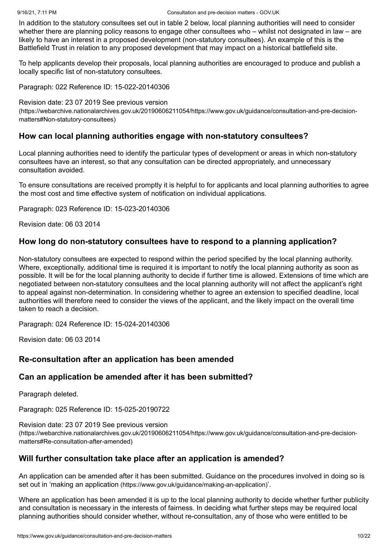In addition to the statutory consultees set out in table 2 below, local planning authorities will need to consider whether there are planning policy reasons to engage other consultees who – whilst not designated in law – are likely to have an interest in a proposed development (non-statutory consultees). An example of this is the Battlefield Trust in relation to any proposed development that may impact on a historical battlefield site.

To help applicants develop their proposals, local planning authorities are encouraged to produce and publish a locally specific list of non-statutory consultees.

Paragraph: 022 Reference ID: 15-022-20140306

Revision date: 23 07 2019 See previous version

[\(https://webarchive.nationalarchives.gov.uk/20190606211054/https://www.gov.uk/guidance/consultation-and-pre-decision](https://webarchive.nationalarchives.gov.uk/20190606211054/https://www.gov.uk/guidance/consultation-and-pre-decision-matters#Non-statutory-consultees)matters#Non-statutory-consultees)

#### **How can local planning authorities engage with non-statutory consultees?**

Local planning authorities need to identify the particular types of development or areas in which non-statutory consultees have an interest, so that any consultation can be directed appropriately, and unnecessary consultation avoided.

To ensure consultations are received promptly it is helpful to for applicants and local planning authorities to agree the most cost and time effective system of notification on individual applications.

Paragraph: 023 Reference ID: 15-023-20140306

Revision date: 06 03 2014

#### **How long do non-statutory consultees have to respond to a planning application?**

Non-statutory consultees are expected to respond within the period specified by the local planning authority. Where, exceptionally, additional time is required it is important to notify the local planning authority as soon as possible. It will be for the local planning authority to decide if further time is allowed. Extensions of time which are negotiated between non-statutory consultees and the local planning authority will not affect the applicant's right to appeal against non-determination. In considering whether to agree an extension to specified deadline, local authorities will therefore need to consider the views of the applicant, and the likely impact on the overall time taken to reach a decision.

Paragraph: 024 Reference ID: 15-024-20140306

Revision date: 06 03 2014

#### <span id="page-9-0"></span>**Re-consultation after an application has been amended**

#### **Can an application be amended after it has been submitted?**

Paragraph deleted.

Paragraph: 025 Reference ID: 15-025-20190722

Revision date: 23 07 2019 See previous version [\(https://webarchive.nationalarchives.gov.uk/20190606211054/https://www.gov.uk/guidance/consultation-and-pre-decision](https://webarchive.nationalarchives.gov.uk/20190606211054/https://www.gov.uk/guidance/consultation-and-pre-decision-matters#Re-consultation-after-amended)matters#Re-consultation-after-amended)

## **Will further consultation take place after an application is amended?**

An application can be amended after it has been submitted. Guidance on the procedures involved in doing so is set out in 'making an application [\(https://www.gov.uk/guidance/making-an-application\)](https://www.gov.uk/guidance/making-an-application)'.

Where an application has been amended it is up to the local planning authority to decide whether further publicity and consultation is necessary in the interests of fairness. In deciding what further steps may be required local planning authorities should consider whether, without re-consultation, any of those who were entitled to be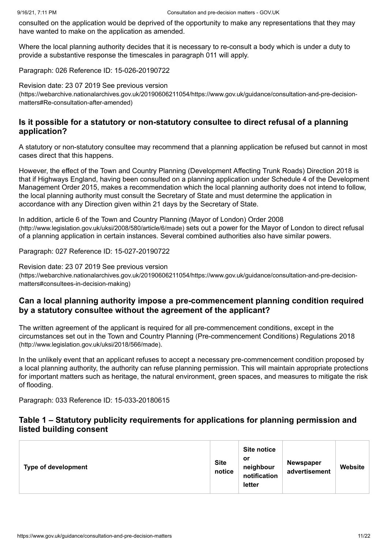consulted on the application would be deprived of the opportunity to make any representations that they may have wanted to make on the application as amended.

Where the local planning authority decides that it is necessary to re-consult a body which is under a duty to provide a substantive response the timescales in [paragraph 011](#page-6-0) will apply.

Paragraph: 026 Reference ID: 15-026-20190722

Revision date: 23 07 2019 See previous version [\(https://webarchive.nationalarchives.gov.uk/20190606211054/https://www.gov.uk/guidance/consultation-and-pre-decision](https://webarchive.nationalarchives.gov.uk/20190606211054/https://www.gov.uk/guidance/consultation-and-pre-decision-matters#Re-consultation-after-amended)matters#Re-consultation-after-amended)

## <span id="page-10-0"></span>**Is it possible for a statutory or non-statutory consultee to direct refusal of a planning application?**

A statutory or non-statutory consultee may recommend that a planning application be refused but cannot in most cases direct that this happens.

However, the effect of the Town and Country Planning (Development Affecting Trunk Roads) Direction 2018 is that if Highways England, having been consulted on a planning application under Schedule 4 of the Development Management Order 2015, makes a recommendation which the local planning authority does not intend to follow, the local planning authority must consult the Secretary of State and must determine the application in accordance with any Direction given within 21 days by the Secretary of State.

[In addition, article 6 of the Town and Country Planning \(Mayor of London\) Order 2008](http://www.legislation.gov.uk/uksi/2008/580/article/6/made) (http://www.legislation.gov.uk/uksi/2008/580/article/6/made) sets out a power for the Mayor of London to direct refusal of a planning application in certain instances. Several combined authorities also have similar powers.

Paragraph: 027 Reference ID: 15-027-20190722

Revision date: 23 07 2019 See previous version [\(https://webarchive.nationalarchives.gov.uk/20190606211054/https://www.gov.uk/guidance/consultation-and-pre-decision](https://webarchive.nationalarchives.gov.uk/20190606211054/https://www.gov.uk/guidance/consultation-and-pre-decision-matters#consultees-in-decision-making)matters#consultees-in-decision-making)

## **Can a local planning authority impose a pre-commencement planning condition required by a statutory consultee without the agreement of the applicant?**

The written agreement of the applicant is required for all pre-commencement conditions, except in the [circumstances set out in the Town and Country Planning \(Pre-commencement Conditions\) Regulations 2018](http://www.legislation.gov.uk/uksi/2018/566/made) (http://www.legislation.gov.uk/uksi/2018/566/made).

In the unlikely event that an applicant refuses to accept a necessary pre-commencement condition proposed by a local planning authority, the authority can refuse planning permission. This will maintain appropriate protections for important matters such as heritage, the natural environment, green spaces, and measures to mitigate the risk of flooding.

Paragraph: 033 Reference ID: 15-033-20180615

## <span id="page-10-1"></span>**Table 1 – Statutory publicity requirements for applications for planning permission and listed building consent**

| <b>Type of development</b> | <b>Site</b><br>notice | <b>Site notice</b><br>.or<br>neighbour<br>notification<br>letter | <b>Newspaper</b><br>advertisement | Website |
|----------------------------|-----------------------|------------------------------------------------------------------|-----------------------------------|---------|
|----------------------------|-----------------------|------------------------------------------------------------------|-----------------------------------|---------|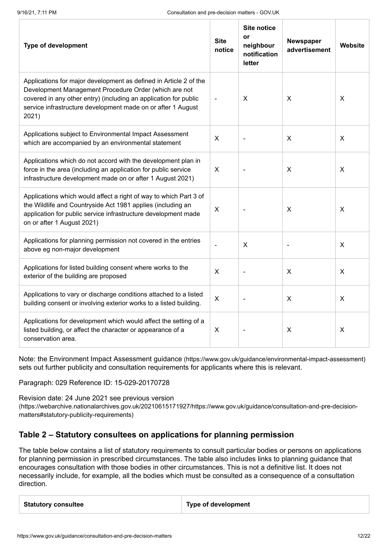| <b>Type of development</b>                                                                                                                                                                                                                                              |  | <b>Site notice</b><br>or<br>neighbour<br>notification<br>letter | Newspaper<br>advertisement | Website |
|-------------------------------------------------------------------------------------------------------------------------------------------------------------------------------------------------------------------------------------------------------------------------|--|-----------------------------------------------------------------|----------------------------|---------|
| Applications for major development as defined in Article 2 of the<br>Development Management Procedure Order (which are not<br>covered in any other entry) (including an application for public<br>service infrastructure development made on or after 1 August<br>2021) |  | X                                                               | X                          | X       |
| Applications subject to Environmental Impact Assessment<br>which are accompanied by an environmental statement                                                                                                                                                          |  |                                                                 | X                          | X       |
| Applications which do not accord with the development plan in<br>force in the area (including an application for public service<br>infrastructure development made on or after 1 August 2021)                                                                           |  |                                                                 | $\pmb{\times}$             | X       |
| Applications which would affect a right of way to which Part 3 of<br>the Wildlife and Countryside Act 1981 applies (including an<br>application for public service infrastructure development made<br>on or after 1 August 2021)                                        |  |                                                                 | X                          | X       |
| Applications for planning permission not covered in the entries<br>above eg non-major development                                                                                                                                                                       |  | X                                                               |                            | X       |
| Applications for listed building consent where works to the<br>exterior of the building are proposed                                                                                                                                                                    |  |                                                                 | X                          | X       |
| Applications to vary or discharge conditions attached to a listed<br>building consent or involving exterior works to a listed building.                                                                                                                                 |  |                                                                 | X                          | $\sf X$ |
| Applications for development which would affect the setting of a<br>listed building, or affect the character or appearance of a<br>conservation area.                                                                                                                   |  |                                                                 | X                          | X       |

Note: the Environment Impact Assessment guidance [\(https://www.gov.uk/guidance/environmental-impact-assessment\)](https://www.gov.uk/guidance/environmental-impact-assessment) sets out further publicity and consultation requirements for applicants where this is relevant.

Paragraph: 029 Reference ID: 15-029-20170728

Revision date: 24 June 2021 see previous version [\(https://webarchive.nationalarchives.gov.uk/20210615171927/https://www.gov.uk/guidance/consultation-and-pre-decision](https://webarchive.nationalarchives.gov.uk/20210615171927/https://www.gov.uk/guidance/consultation-and-pre-decision-matters#statutory-publicity-requirements)matters#statutory-publicity-requirements)

## <span id="page-11-0"></span>**Table 2 – Statutory consultees on applications for planning permission**

The table below contains a list of statutory requirements to consult particular bodies or persons on applications for planning permission in prescribed circumstances. The table also includes links to planning guidance that encourages consultation with those bodies in other circumstances. This is not a definitive list. It does not necessarily include, for example, all the bodies which must be consulted as a consequence of a consultation direction.

| <b>Statutory consultee</b> | <b>Type of development</b> |
|----------------------------|----------------------------|
|                            |                            |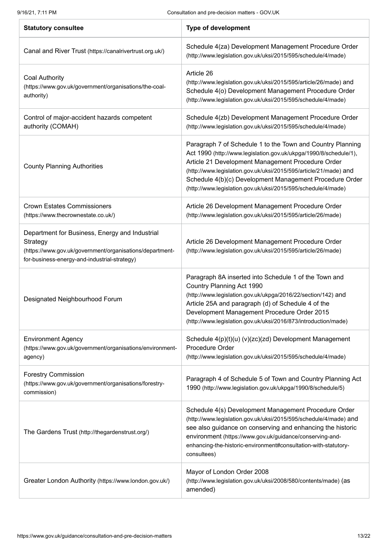| <b>Statutory consultee</b>                                                                                                                                             | <b>Type of development</b>                                                                                                                                                                                                                                                                                                                                                            |
|------------------------------------------------------------------------------------------------------------------------------------------------------------------------|---------------------------------------------------------------------------------------------------------------------------------------------------------------------------------------------------------------------------------------------------------------------------------------------------------------------------------------------------------------------------------------|
| Canal and River Trust (https://canalrivertrust.org.uk/)                                                                                                                | Schedule 4(za) Development Management Procedure Order<br>(http://www.legislation.gov.uk/uksi/2015/595/schedule/4/made)                                                                                                                                                                                                                                                                |
| <b>Coal Authority</b><br>(https://www.gov.uk/government/organisations/the-coal-<br>authority)                                                                          | Article 26<br>(http://www.legislation.gov.uk/uksi/2015/595/article/26/made) and<br>Schedule 4(o) Development Management Procedure Order<br>(http://www.legislation.gov.uk/uksi/2015/595/schedule/4/made)                                                                                                                                                                              |
| Control of major-accident hazards competent<br>authority (COMAH)                                                                                                       | Schedule 4(zb) Development Management Procedure Order<br>(http://www.legislation.gov.uk/uksi/2015/595/schedule/4/made)                                                                                                                                                                                                                                                                |
| <b>County Planning Authorities</b>                                                                                                                                     | Paragraph 7 of Schedule 1 to the Town and Country Planning<br>Act 1990 (http://www.legislation.gov.uk/ukpga/1990/8/schedule/1),<br>Article 21 Development Management Procedure Order<br>(http://www.legislation.gov.uk/uksi/2015/595/article/21/made) and<br>Schedule 4(b)(c) Development Management Procedure Order<br>(http://www.legislation.gov.uk/uksi/2015/595/schedule/4/made) |
| <b>Crown Estates Commissioners</b><br>(https://www.thecrownestate.co.uk/)                                                                                              | Article 26 Development Management Procedure Order<br>(http://www.legislation.gov.uk/uksi/2015/595/article/26/made)                                                                                                                                                                                                                                                                    |
| Department for Business, Energy and Industrial<br>Strategy<br>(https://www.gov.uk/government/organisations/department-<br>for-business-energy-and-industrial-strategy) | Article 26 Development Management Procedure Order<br>(http://www.legislation.gov.uk/uksi/2015/595/article/26/made)                                                                                                                                                                                                                                                                    |
| Designated Neighbourhood Forum                                                                                                                                         | Paragraph 8A inserted into Schedule 1 of the Town and<br>Country Planning Act 1990<br>(http://www.legislation.gov.uk/ukpga/2016/22/section/142) and<br>Article 25A and paragraph (d) of Schedule 4 of the<br>Development Management Procedure Order 2015<br>(http://www.legislation.gov.uk/uksi/2016/873/introduction/made)                                                           |
| <b>Environment Agency</b><br>(https://www.gov.uk/government/organisations/environment-<br>agency)                                                                      | Schedule 4(p)(t)(u) (v)(zc)(zd) Development Management<br>Procedure Order<br>(http://www.legislation.gov.uk/uksi/2015/595/schedule/4/made)                                                                                                                                                                                                                                            |
| <b>Forestry Commission</b><br>(https://www.gov.uk/government/organisations/forestry-<br>commission)                                                                    | Paragraph 4 of Schedule 5 of Town and Country Planning Act<br>1990 (http://www.legislation.gov.uk/ukpga/1990/8/schedule/5)                                                                                                                                                                                                                                                            |
| The Gardens Trust (http://thegardenstrust.org/)                                                                                                                        | Schedule 4(s) Development Management Procedure Order<br>(http://www.legislation.gov.uk/uksi/2015/595/schedule/4/made) and<br>see also guidance on conserving and enhancing the historic<br>environment (https://www.gov.uk/guidance/conserving-and-<br>enhancing-the-historic-environment#consultation-with-statutory-<br>consultees)                                                 |
| Greater London Authority (https://www.london.gov.uk/)                                                                                                                  | Mayor of London Order 2008<br>(http://www.legislation.gov.uk/uksi/2008/580/contents/made) (as<br>amended)                                                                                                                                                                                                                                                                             |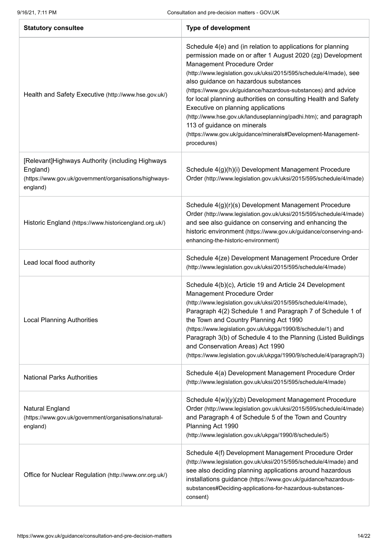| <b>Statutory consultee</b>                                                                                                         | <b>Type of development</b>                                                                                                                                                                                                                                                                                                                                                                                                                                                                                                                                                                                                         |
|------------------------------------------------------------------------------------------------------------------------------------|------------------------------------------------------------------------------------------------------------------------------------------------------------------------------------------------------------------------------------------------------------------------------------------------------------------------------------------------------------------------------------------------------------------------------------------------------------------------------------------------------------------------------------------------------------------------------------------------------------------------------------|
| Health and Safety Executive (http://www.hse.gov.uk/)                                                                               | Schedule 4(e) and (in relation to applications for planning<br>permission made on or after 1 August 2020 (zg) Development<br>Management Procedure Order<br>(http://www.legislation.gov.uk/uksi/2015/595/schedule/4/made), see<br>also guidance on hazardous substances<br>(https://www.gov.uk/guidance/hazardous-substances) and advice<br>for local planning authorities on consulting Health and Safety<br>Executive on planning applications<br>(http://www.hse.gov.uk/landuseplanning/padhi.htm); and paragraph<br>113 of guidance on minerals<br>(https://www.gov.uk/guidance/minerals#Development-Management-<br>procedures) |
| [Relevant]Highways Authority (including Highways<br>England)<br>(https://www.gov.uk/government/organisations/highways-<br>england) | Schedule 4(g)(h)(i) Development Management Procedure<br>Order (http://www.legislation.gov.uk/uksi/2015/595/schedule/4/made)                                                                                                                                                                                                                                                                                                                                                                                                                                                                                                        |
| Historic England (https://www.historicengland.org.uk/)                                                                             | Schedule 4(g)(r)(s) Development Management Procedure<br>Order (http://www.legislation.gov.uk/uksi/2015/595/schedule/4/made)<br>and see also guidance on conserving and enhancing the<br>historic environment (https://www.gov.uk/guidance/conserving-and-<br>enhancing-the-historic-environment)                                                                                                                                                                                                                                                                                                                                   |
| Lead local flood authority                                                                                                         | Schedule 4(ze) Development Management Procedure Order<br>(http://www.legislation.gov.uk/uksi/2015/595/schedule/4/made)                                                                                                                                                                                                                                                                                                                                                                                                                                                                                                             |
| <b>Local Planning Authorities</b>                                                                                                  | Schedule 4(b)(c), Article 19 and Article 24 Development<br>Management Procedure Order<br>(http://www.legislation.gov.uk/uksi/2015/595/schedule/4/made),<br>Paragraph 4(2) Schedule 1 and Paragraph 7 of Schedule 1 of<br>the Town and Country Planning Act 1990<br>(https://www.legislation.gov.uk/ukpga/1990/8/schedule/1) and<br>Paragraph 3(b) of Schedule 4 to the Planning (Listed Buildings<br>and Conservation Areas) Act 1990<br>(https://www.legislation.gov.uk/ukpga/1990/9/schedule/4/paragraph/3)                                                                                                                      |
| <b>National Parks Authorities</b>                                                                                                  | Schedule 4(a) Development Management Procedure Order<br>(http://www.legislation.gov.uk/uksi/2015/595/schedule/4/made)                                                                                                                                                                                                                                                                                                                                                                                                                                                                                                              |
| Natural England<br>(https://www.gov.uk/government/organisations/natural-<br>england)                                               | Schedule 4(w)(y)(zb) Development Management Procedure<br>Order (http://www.legislation.gov.uk/uksi/2015/595/schedule/4/made)<br>and Paragraph 4 of Schedule 5 of the Town and Country<br>Planning Act 1990<br>(http://www.legislation.gov.uk/ukpga/1990/8/schedule/5)                                                                                                                                                                                                                                                                                                                                                              |
| Office for Nuclear Regulation (http://www.onr.org.uk/)                                                                             | Schedule 4(f) Development Management Procedure Order<br>(http://www.legislation.gov.uk/uksi/2015/595/schedule/4/made) and<br>see also deciding planning applications around hazardous<br>installations guidance (https://www.gov.uk/guidance/hazardous-<br>substances#Deciding-applications-for-hazardous-substances-<br>consent)                                                                                                                                                                                                                                                                                                  |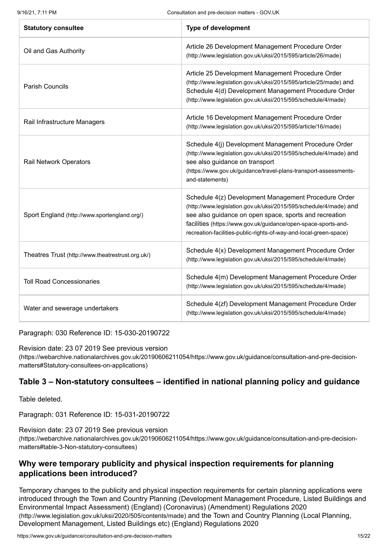| <b>Statutory consultee</b>                        | <b>Type of development</b>                                                                                                                                                                                                                                                                                                 |
|---------------------------------------------------|----------------------------------------------------------------------------------------------------------------------------------------------------------------------------------------------------------------------------------------------------------------------------------------------------------------------------|
| Oil and Gas Authority                             | Article 26 Development Management Procedure Order<br>(http://www.legislation.gov.uk/uksi/2015/595/article/26/made)                                                                                                                                                                                                         |
| <b>Parish Councils</b>                            | Article 25 Development Management Procedure Order<br>(http://www.legislation.gov.uk/uksi/2015/595/article/25/made) and<br>Schedule 4(d) Development Management Procedure Order<br>(http://www.legislation.gov.uk/uksi/2015/595/schedule/4/made)                                                                            |
| Rail Infrastructure Managers                      | Article 16 Development Management Procedure Order<br>(http://www.legislation.gov.uk/uksi/2015/595/article/16/made)                                                                                                                                                                                                         |
| <b>Rail Network Operators</b>                     | Schedule 4(j) Development Management Procedure Order<br>(http://www.legislation.gov.uk/uksi/2015/595/schedule/4/made) and<br>see also guidance on transport<br>(https://www.gov.uk/guidance/travel-plans-transport-assessments-<br>and-statements)                                                                         |
| Sport England (http://www.sportengland.org/)      | Schedule 4(z) Development Management Procedure Order<br>(http://www.legislation.gov.uk/uksi/2015/595/schedule/4/made) and<br>see also guidance on open space, sports and recreation<br>facilities (https://www.gov.uk/guidance/open-space-sports-and-<br>recreation-facilities-public-rights-of-way-and-local-green-space) |
| Theatres Trust (http://www.theatrestrust.org.uk/) | Schedule 4(x) Development Management Procedure Order<br>(http://www.legislation.gov.uk/uksi/2015/595/schedule/4/made)                                                                                                                                                                                                      |
| <b>Toll Road Concessionaries</b>                  | Schedule 4(m) Development Management Procedure Order<br>(http://www.legislation.gov.uk/uksi/2015/595/schedule/4/made)                                                                                                                                                                                                      |
| Water and sewerage undertakers                    | Schedule 4(zf) Development Management Procedure Order<br>(http://www.legislation.gov.uk/uksi/2015/595/schedule/4/made)                                                                                                                                                                                                     |

Paragraph: 030 Reference ID: 15-030-20190722

Revision date: 23 07 2019 See previous version

[\(https://webarchive.nationalarchives.gov.uk/20190606211054/https://www.gov.uk/guidance/consultation-and-pre-decision](https://webarchive.nationalarchives.gov.uk/20190606211054/https://www.gov.uk/guidance/consultation-and-pre-decision-matters#Statutory-consultees-on-applications)matters#Statutory-consultees-on-applications)

## **Table 3 – Non-statutory consultees – identified in national planning policy and guidance**

Table deleted.

Paragraph: 031 Reference ID: 15-031-20190722

Revision date: 23 07 2019 See previous version [\(https://webarchive.nationalarchives.gov.uk/20190606211054/https://www.gov.uk/guidance/consultation-and-pre-decision](https://webarchive.nationalarchives.gov.uk/20190606211054/https://www.gov.uk/guidance/consultation-and-pre-decision-matters#table-3-Non-statutory-consultees)matters#table-3-Non-statutory-consultees)

## <span id="page-14-0"></span>**Why were temporary publicity and physical inspection requirements for planning applications been introduced?**

Temporary changes to the publicity and physical inspection requirements for certain planning applications were [introduced through the Town and Country Planning \(Development Management Procedure, Listed Buildings and](http://www.legislation.gov.uk/uksi/2020/505/contents/made) Environmental Impact Assessment) (England) (Coronavirus) (Amendment) Regulations 2020 (http://www.legislation.gov.uk/uksi/2020/505/contents/made) and the Town and Country Planning (Local Planning, [Development Management, Listed Buildings etc\) \(England\) Regulations 2020](https://www.legislation.gov.uk/uksi/2020/1398/contents/made)

https://www.gov.uk/guidance/consultation-and-pre-decision-matters 15/22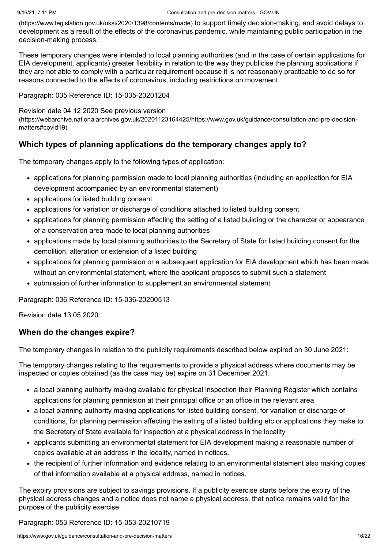[\(https://www.legislation.gov.uk/uksi/2020/1398/contents/made\)](https://www.legislation.gov.uk/uksi/2020/1398/contents/made) to support timely decision-making, and avoid delays to development as a result of the effects of the coronavirus pandemic, while maintaining public participation in the decision-making process.

These temporary changes were intended to local planning authorities (and in the case of certain applications for EIA development, applicants) greater flexibility in relation to the way they publicise the planning applications if they are not able to comply with a particular requirement because it is not reasonably practicable to do so for reasons connected to the effects of coronavirus, including restrictions on movement.

Paragraph: 035 Reference ID: 15-035-20201204

Revision date 04 12 2020 See previous version

[\(https://webarchive.nationalarchives.gov.uk/20201123164425/https://www.gov.uk/guidance/consultation-and-pre-decision](https://webarchive.nationalarchives.gov.uk/20201123164425/https://www.gov.uk/guidance/consultation-and-pre-decision-matters#covid19)matters#covid19)

## **Which types of planning applications do the temporary changes apply to?**

The temporary changes apply to the following types of application:

- applications for planning permission made to local planning authorities (including an application for EIA development accompanied by an environmental statement)
- applications for listed building consent
- applications for variation or discharge of conditions attached to listed building consent
- applications for planning permission affecting the setting of a listed building or the character or appearance of a conservation area made to local planning authorities
- applications made by local planning authorities to the Secretary of State for listed building consent for the demolition, alteration or extension of a listed building
- applications for planning permission or a subsequent application for EIA development which has been made without an environmental statement, where the applicant proposes to submit such a statement
- submission of further information to supplement an environmental statement

Paragraph: 036 Reference ID: 15-036-20200513

Revision date 13 05 2020

## **When do the changes expire?**

The temporary changes in relation to the publicity requirements described below expired on 30 June 2021:

The temporary changes relating to the requirements to provide a physical address where documents may be inspected or copies obtained (as the case may be) expire on 31 December 2021.

- a local planning authority making available for physical inspection their Planning Register which contains applications for planning permission at their principal office or an office in the relevant area
- a local planning authority making applications for listed building consent, for variation or discharge of conditions, for planning permission affecting the setting of a listed building etc or applications they make to the Secretary of State available for inspection at a physical address in the locality
- applicants submitting an environmental statement for EIA development making a reasonable number of copies available at an address in the locality, named in notices.
- the recipient of further information and evidence relating to an environmental statement also making copies of that information available at a physical address, named in notices.

The expiry provisions are subject to savings provisions. If a publicity exercise starts before the expiry of the physical address changes and a notice does not name a physical address, that notice remains valid for the purpose of the publicity exercise.

Paragraph: 053 Reference ID: 15-053-20210719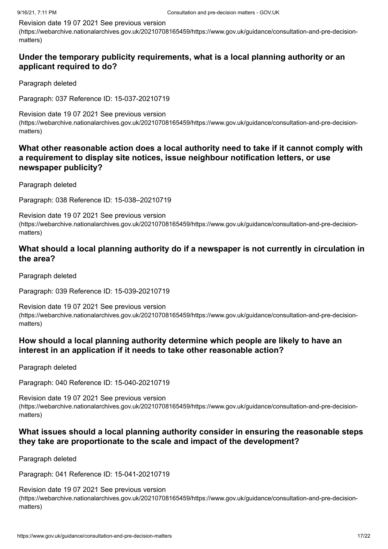#### Revision date 19 07 2021 See previous version

[\(https://webarchive.nationalarchives.gov.uk/20210708165459/https://www.gov.uk/guidance/consultation-and-pre-decision](https://webarchive.nationalarchives.gov.uk/20210708165459/https://www.gov.uk/guidance/consultation-and-pre-decision-matters)matters)

## **Under the temporary publicity requirements, what is a local planning authority or an applicant required to do?**

Paragraph deleted

Paragraph: 037 Reference ID: 15-037-20210719

Revision date 19 07 2021 See previous version [\(https://webarchive.nationalarchives.gov.uk/20210708165459/https://www.gov.uk/guidance/consultation-and-pre-decision](https://webarchive.nationalarchives.gov.uk/20210708165459/https://www.gov.uk/guidance/consultation-and-pre-decision-matters)matters)

## **What other reasonable action does a local authority need to take if it cannot comply with a requirement to display site notices, issue neighbour notification letters, or use newspaper publicity?**

Paragraph deleted

Paragraph: 038 Reference ID: 15-038–20210719

Revision date 19 07 2021 See previous version [\(https://webarchive.nationalarchives.gov.uk/20210708165459/https://www.gov.uk/guidance/consultation-and-pre-decision](https://webarchive.nationalarchives.gov.uk/20210708165459/https://www.gov.uk/guidance/consultation-and-pre-decision-matters)matters)

## **What should a local planning authority do if a newspaper is not currently in circulation in the area?**

Paragraph deleted

Paragraph: 039 Reference ID: 15-039-20210719

Revision date 19 07 2021 See previous version [\(https://webarchive.nationalarchives.gov.uk/20210708165459/https://www.gov.uk/guidance/consultation-and-pre-decision](https://webarchive.nationalarchives.gov.uk/20210708165459/https://www.gov.uk/guidance/consultation-and-pre-decision-matters)matters)

## **How should a local planning authority determine which people are likely to have an interest in an application if it needs to take other reasonable action?**

Paragraph deleted

Paragraph: 040 Reference ID: 15-040-20210719

Revision date 19 07 2021 See previous version [\(https://webarchive.nationalarchives.gov.uk/20210708165459/https://www.gov.uk/guidance/consultation-and-pre-decision](https://webarchive.nationalarchives.gov.uk/20210708165459/https://www.gov.uk/guidance/consultation-and-pre-decision-matters)matters)

## **What issues should a local planning authority consider in ensuring the reasonable steps they take are proportionate to the scale and impact of the development?**

Paragraph deleted

Paragraph: 041 Reference ID: 15-041-20210719

Revision date 19 07 2021 See previous version [\(https://webarchive.nationalarchives.gov.uk/20210708165459/https://www.gov.uk/guidance/consultation-and-pre-decision](https://webarchive.nationalarchives.gov.uk/20210708165459/https://www.gov.uk/guidance/consultation-and-pre-decision-matters)matters)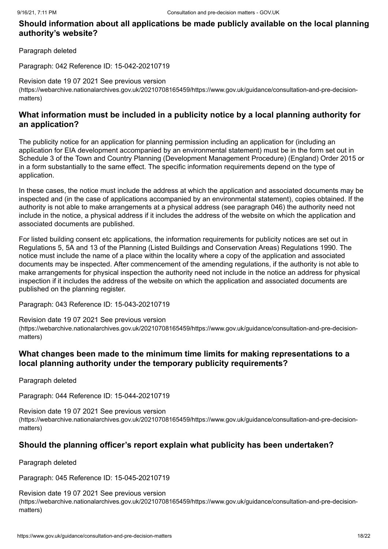## **Should information about all applications be made publicly available on the local planning authority's website?**

Paragraph deleted

Paragraph: 042 Reference ID: 15-042-20210719

Revision date 19 07 2021 See previous version [\(https://webarchive.nationalarchives.gov.uk/20210708165459/https://www.gov.uk/guidance/consultation-and-pre-decision](https://webarchive.nationalarchives.gov.uk/20210708165459/https://www.gov.uk/guidance/consultation-and-pre-decision-matters)matters)

## **What information must be included in a publicity notice by a local planning authority for an application?**

The publicity notice for an application for planning permission including an application for (including an application for EIA development accompanied by an environmental statement) must be in the form set out in Schedule 3 of the Town and Country Planning (Development Management Procedure) (England) Order 2015 or in a form substantially to the same effect. The specific information requirements depend on the type of application.

In these cases, the notice must include the address at which the application and associated documents may be inspected and (in the case of applications accompanied by an environmental statement), copies obtained. If the authority is not able to make arrangements at a physical address (see [paragraph 046\)](#page-18-0) the authority need not include in the notice, a physical address if it includes the address of the website on which the application and associated documents are published.

For listed building consent etc applications, the information requirements for publicity notices are set out in Regulations 5, 5A and 13 of the Planning (Listed Buildings and Conservation Areas) Regulations 1990. The notice must include the name of a place within the locality where a copy of the application and associated documents may be inspected. After commencement of the amending regulations, if the authority is not able to make arrangements for physical inspection the authority need not include in the notice an address for physical inspection if it includes the address of the website on which the application and associated documents are published on the planning register.

Paragraph: 043 Reference ID: 15-043-20210719

Revision date 19 07 2021 See previous version

[\(https://webarchive.nationalarchives.gov.uk/20210708165459/https://www.gov.uk/guidance/consultation-and-pre-decision](https://webarchive.nationalarchives.gov.uk/20210708165459/https://www.gov.uk/guidance/consultation-and-pre-decision-matters)matters)

## **What changes been made to the minimum time limits for making representations to a local planning authority under the temporary publicity requirements?**

Paragraph deleted

Paragraph: 044 Reference ID: 15-044-20210719

Revision date 19 07 2021 See previous version [\(https://webarchive.nationalarchives.gov.uk/20210708165459/https://www.gov.uk/guidance/consultation-and-pre-decision](https://webarchive.nationalarchives.gov.uk/20210708165459/https://www.gov.uk/guidance/consultation-and-pre-decision-matters)matters)

## **Should the planning officer's report explain what publicity has been undertaken?**

Paragraph deleted

Paragraph: 045 Reference ID: 15-045-20210719

Revision date 19 07 2021 See previous version [\(https://webarchive.nationalarchives.gov.uk/20210708165459/https://www.gov.uk/guidance/consultation-and-pre-decision](https://webarchive.nationalarchives.gov.uk/20210708165459/https://www.gov.uk/guidance/consultation-and-pre-decision-matters)matters)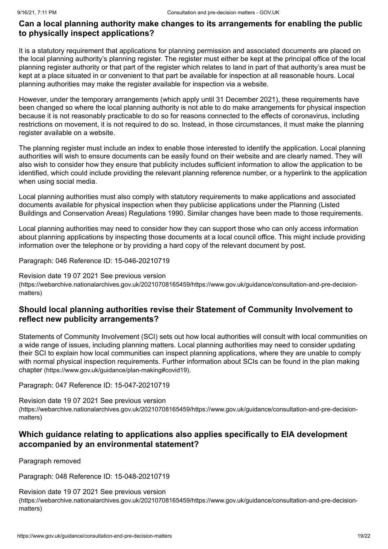## <span id="page-18-0"></span>**Can a local planning authority make changes to its arrangements for enabling the public to physically inspect applications?**

It is a statutory requirement that applications for planning permission and associated documents are placed on the local planning authority's planning register. The register must either be kept at the principal office of the local planning register authority or that part of the register which relates to land in part of that authority's area must be kept at a place situated in or convenient to that part be available for inspection at all reasonable hours. Local planning authorities may make the register available for inspection via a website.

However, under the temporary arrangements (which apply until 31 December 2021), these requirements have been changed so where the local planning authority is not able to do make arrangements for physical inspection because it is not reasonably practicable to do so for reasons connected to the effects of coronavirus, including restrictions on movement, it is not required to do so. Instead, in those circumstances, it must make the planning register available on a website.

The planning register must include an index to enable those interested to identify the application. Local planning authorities will wish to ensure documents can be easily found on their website and are clearly named. They will also wish to consider how they ensure that publicity includes sufficient information to allow the application to be identified, which could include providing the relevant planning reference number, or a hyperlink to the application when using social media.

Local planning authorities must also comply with statutory requirements to make applications and associated documents available for physical inspection when they publicise applications under the Planning (Listed Buildings and Conservation Areas) Regulations 1990. Similar changes have been made to those requirements.

Local planning authorities may need to consider how they can support those who can only access information about planning applications by inspecting those documents at a local council office. This might include providing information over the telephone or by providing a hard copy of the relevant document by post.

Paragraph: 046 Reference ID: 15-046-20210719

Revision date 19 07 2021 See previous version [\(https://webarchive.nationalarchives.gov.uk/20210708165459/https://www.gov.uk/guidance/consultation-and-pre-decision](https://webarchive.nationalarchives.gov.uk/20210708165459/https://www.gov.uk/guidance/consultation-and-pre-decision-matters)matters)

## **Should local planning authorities revise their Statement of Community Involvement to reflect new publicity arrangements?**

Statements of Community Involvement (SCI) sets out how local authorities will consult with local communities on a wide range of issues, including planning matters. Local planning authorities may need to consider updating their SCI to explain how local communities can inspect planning applications, where they are unable to comply [with normal physical inspection requirements. Further information about SCIs can be found in the plan making](https://www.gov.uk/guidance/plan-making#covid19) chapter (https://www.gov.uk/guidance/plan-making#covid19).

Paragraph: 047 Reference ID: 15-047-20210719

Revision date 19 07 2021 See previous version [\(https://webarchive.nationalarchives.gov.uk/20210708165459/https://www.gov.uk/guidance/consultation-and-pre-decision](https://webarchive.nationalarchives.gov.uk/20210708165459/https://www.gov.uk/guidance/consultation-and-pre-decision-matters)matters)

## **Which guidance relating to applications also applies specifically to EIA development accompanied by an environmental statement?**

Paragraph removed

Paragraph: 048 Reference ID: 15-048-20210719

Revision date 19 07 2021 See previous version [\(https://webarchive.nationalarchives.gov.uk/20210708165459/https://www.gov.uk/guidance/consultation-and-pre-decision](https://webarchive.nationalarchives.gov.uk/20210708165459/https://www.gov.uk/guidance/consultation-and-pre-decision-matters)matters)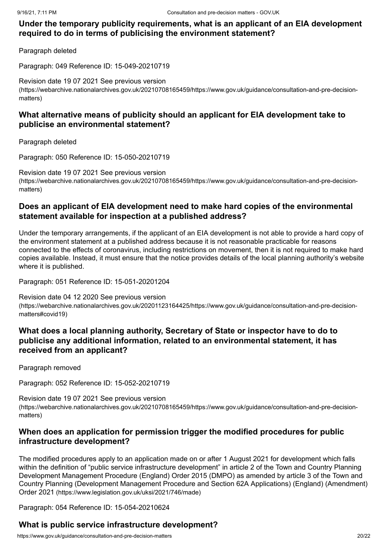## **Under the temporary publicity requirements, what is an applicant of an EIA development required to do in terms of publicising the environment statement?**

Paragraph deleted

Paragraph: 049 Reference ID: 15-049-20210719

Revision date 19 07 2021 See previous version [\(https://webarchive.nationalarchives.gov.uk/20210708165459/https://www.gov.uk/guidance/consultation-and-pre-decision](https://webarchive.nationalarchives.gov.uk/20210708165459/https://www.gov.uk/guidance/consultation-and-pre-decision-matters)matters)

## **What alternative means of publicity should an applicant for EIA development take to publicise an environmental statement?**

Paragraph deleted

Paragraph: 050 Reference ID: 15-050-20210719

Revision date 19 07 2021 See previous version [\(https://webarchive.nationalarchives.gov.uk/20210708165459/https://www.gov.uk/guidance/consultation-and-pre-decision](https://webarchive.nationalarchives.gov.uk/20210708165459/https://www.gov.uk/guidance/consultation-and-pre-decision-matters)matters)

## **Does an applicant of EIA development need to make hard copies of the environmental statement available for inspection at a published address?**

Under the temporary arrangements, if the applicant of an EIA development is not able to provide a hard copy of the environment statement at a published address because it is not reasonable practicable for reasons connected to the effects of coronavirus, including restrictions on movement, then it is not required to make hard copies available. Instead, it must ensure that the notice provides details of the local planning authority's website where it is published.

Paragraph: 051 Reference ID: 15-051-20201204

Revision date 04 12 2020 See previous version [\(https://webarchive.nationalarchives.gov.uk/20201123164425/https://www.gov.uk/guidance/consultation-and-pre-decision](https://webarchive.nationalarchives.gov.uk/20201123164425/https://www.gov.uk/guidance/consultation-and-pre-decision-matters#covid19)matters#covid19)

## **What does a local planning authority, Secretary of State or inspector have to do to publicise any additional information, related to an environmental statement, it has received from an applicant?**

Paragraph removed

Paragraph: 052 Reference ID: 15-052-20210719

<span id="page-19-0"></span>Revision date 19 07 2021 See previous version [\(https://webarchive.nationalarchives.gov.uk/20210708165459/https://www.gov.uk/guidance/consultation-and-pre-decision](https://webarchive.nationalarchives.gov.uk/20210708165459/https://www.gov.uk/guidance/consultation-and-pre-decision-matters)matters)

## **When does an application for permission trigger the modified procedures for public infrastructure development?**

The modified procedures apply to an application made on or after 1 August 2021 for development which falls within the definition of "public service infrastructure development" in article 2 of the Town and Country Planning Development Management Procedure (England) Order 2015 (DMPO) as amended by article 3 of the Town and [Country Planning \(Development Management Procedure and Section 62A Applications\) \(England\) \(Amendment\)](https://www.legislation.gov.uk/uksi/2021/746/made) Order 2021 (https://www.legislation.gov.uk/uksi/2021/746/made)

Paragraph: 054 Reference ID: 15-054-20210624

## **What is public service infrastructure development?**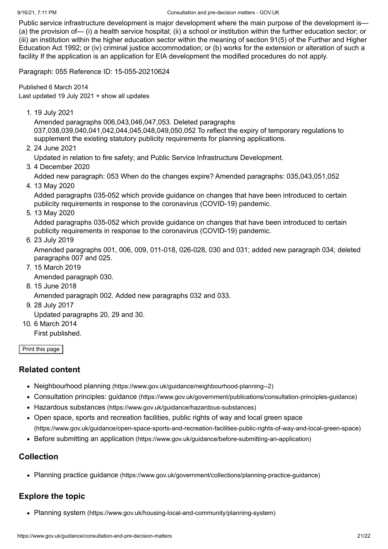Public service infrastructure development is major development where the main purpose of the development is— (a) the provision of— (i) a health service hospital; (ii) a school or institution within the further education sector; or (iii) an institution within the higher education sector within the meaning of section 91(5) of the Further and Higher Education Act 1992; or (iv) criminal justice accommodation; or (b) works for the extension or alteration of such a facility If the application is an application for EIA development the modified procedures do not apply.

Paragraph: 055 Reference ID: 15-055-20210624

<span id="page-20-0"></span>Published 6 March 2014 Last updated 19 July 2021 + show all [updates](#page-20-1)

<span id="page-20-1"></span>1. 19 July 2021

Amended paragraphs 006,043,046,047,053. Deleted paragraphs 037,038,039,040,041,042,044,045,048,049,050,052 To reflect the expiry of temporary regulations to supplement the existing statutory publicity requirements for planning applications.

2. 24 June 2021

Updated in relation to fire safety; and Public Service Infrastructure Development.

3. 4 December 2020

Added new paragraph: 053 When do the changes expire? Amended paragraphs: 035,043,051,052

4. 13 May 2020

Added paragraphs 035-052 which provide guidance on changes that have been introduced to certain publicity requirements in response to the coronavirus (COVID-19) pandemic.

5. 13 May 2020

Added paragraphs 035-052 which provide guidance on changes that have been introduced to certain publicity requirements in response to the coronavirus (COVID-19) pandemic.

6. 23 July 2019

Amended paragraphs 001, 006, 009, 011-018, 026-028, 030 and 031; added new paragraph 034; deleted paragraphs 007 and 025.

7. 15 March 2019

Amended paragraph 030.

8. 15 June 2018

Amended paragraph 002. Added new paragraphs 032 and 033.

9. 28 July 2017

Updated paragraphs 20, 29 and 30.

10. 6 March 2014

First published.

Print this page

## **Related content**

- Neighbourhood planning [\(https://www.gov.uk/guidance/neighbourhood-planning--2\)](https://www.gov.uk/guidance/neighbourhood-planning--2)
- Consultation principles: guidance [\(https://www.gov.uk/government/publications/consultation-principles-guidance\)](https://www.gov.uk/government/publications/consultation-principles-guidance)
- Hazardous substances [\(https://www.gov.uk/guidance/hazardous-substances\)](https://www.gov.uk/guidance/hazardous-substances)
- Open space, sports and recreation facilities, public rights of way and local green space [\(https://www.gov.uk/guidance/open-space-sports-and-recreation-facilities-public-rights-of-way-and-local-green-space\)](https://www.gov.uk/guidance/open-space-sports-and-recreation-facilities-public-rights-of-way-and-local-green-space)
- Before submitting an application [\(https://www.gov.uk/guidance/before-submitting-an-application\)](https://www.gov.uk/guidance/before-submitting-an-application)

## **Collection**

Planning practice guidance [\(https://www.gov.uk/government/collections/planning-practice-guidance\)](https://www.gov.uk/government/collections/planning-practice-guidance)

## **Explore the topic**

Planning system [\(https://www.gov.uk/housing-local-and-community/planning-system\)](https://www.gov.uk/housing-local-and-community/planning-system)